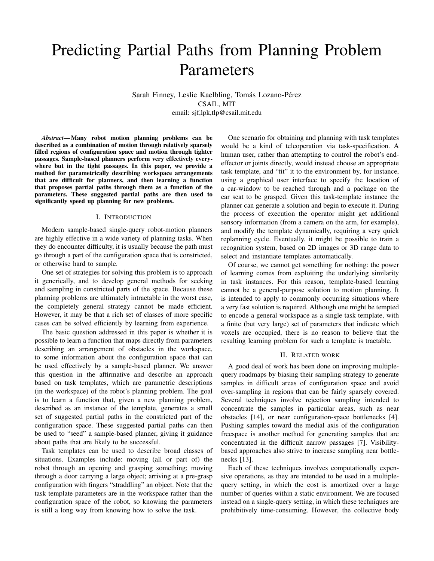# Predicting Partial Paths from Planning Problem Parameters

Sarah Finney, Leslie Kaelbling, Tomás Lozano-Pérez CSAIL, MIT email: sjf,lpk,tlp@csail.mit.edu

*Abstract*— Many robot motion planning problems can be described as a combination of motion through relatively sparsely filled regions of configuration space and motion through tighter passages. Sample-based planners perform very effectively everywhere but in the tight passages. In this paper, we provide a method for parametrically describing workspace arrangements that are difficult for planners, and then learning a function that proposes partial paths through them as a function of the parameters. These suggested partial paths are then used to significantly speed up planning for new problems.

#### I. INTRODUCTION

Modern sample-based single-query robot-motion planners are highly effective in a wide variety of planning tasks. When they do encounter difficulty, it is usually because the path must go through a part of the configuration space that is constricted, or otherwise hard to sample.

One set of strategies for solving this problem is to approach it generically, and to develop general methods for seeking and sampling in constricted parts of the space. Because these planning problems are ultimately intractable in the worst case, the completely general strategy cannot be made efficient. However, it may be that a rich set of classes of more specific cases can be solved efficiently by learning from experience.

The basic question addressed in this paper is whether it is possible to learn a function that maps directly from parameters describing an arrangement of obstacles in the workspace, to some information about the configuration space that can be used effectively by a sample-based planner. We answer this question in the affirmative and describe an approach based on task templates, which are parametric descriptions (in the workspace) of the robot's planning problem. The goal is to learn a function that, given a new planning problem, described as an instance of the template, generates a small set of suggested partial paths in the constricted part of the configuration space. These suggested partial paths can then be used to "seed" a sample-based planner, giving it guidance about paths that are likely to be successful.

Task templates can be used to describe broad classes of situations. Examples include: moving (all or part of) the robot through an opening and grasping something; moving through a door carrying a large object; arriving at a pre-grasp configuration with fingers "straddling" an object. Note that the task template parameters are in the workspace rather than the configuration space of the robot, so knowing the parameters is still a long way from knowing how to solve the task.

One scenario for obtaining and planning with task templates would be a kind of teleoperation via task-specification. A human user, rather than attempting to control the robot's endeffector or joints directly, would instead choose an appropriate task template, and "fit" it to the environment by, for instance, using a graphical user interface to specify the location of a car-window to be reached through and a package on the car seat to be grasped. Given this task-template instance the planner can generate a solution and begin to execute it. During the process of execution the operator might get additional sensory information (from a camera on the arm, for example), and modify the template dynamically, requiring a very quick replanning cycle. Eventually, it might be possible to train a recognition system, based on 2D images or 3D range data to select and instantiate templates automatically.

Of course, we cannot get something for nothing: the power of learning comes from exploiting the underlying similarity in task instances. For this reason, template-based learning cannot be a general-purpose solution to motion planning. It is intended to apply to commonly occurring situations where a very fast solution is required. Although one might be tempted to encode a general workspace as a single task template, with a finite (but very large) set of parameters that indicate which voxels are occupied, there is no reason to believe that the resulting learning problem for such a template is tractable.

#### II. RELATED WORK

A good deal of work has been done on improving multiplequery roadmaps by biasing their sampling strategy to generate samples in difficult areas of configuration space and avoid over-sampling in regions that can be fairly sparsely covered. Several techniques involve rejection sampling intended to concentrate the samples in particular areas, such as near obstacles [14], or near configuration-space bottlenecks [4]. Pushing samples toward the medial axis of the configuration freespace is another method for generating samples that are concentrated in the difficult narrow passages [7]. Visibilitybased approaches also strive to increase sampling near bottlenecks [13].

Each of these techniques involves computationally expensive operations, as they are intended to be used in a multiplequery setting, in which the cost is amortized over a large number of queries within a static environment. We are focused instead on a single-query setting, in which these techniques are prohibitively time-consuming. However, the collective body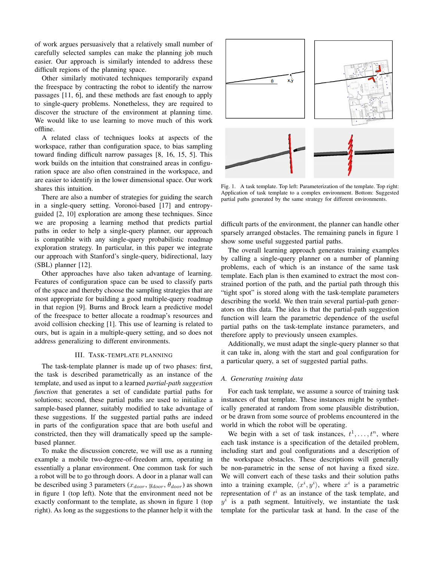of work argues persuasively that a relatively small number of carefully selected samples can make the planning job much easier. Our approach is similarly intended to address these difficult regions of the planning space.

Other similarly motivated techniques temporarily expand the freespace by contracting the robot to identify the narrow passages [11, 6], and these methods are fast enough to apply to single-query problems. Nonetheless, they are required to discover the structure of the environment at planning time. We would like to use learning to move much of this work offline.

A related class of techniques looks at aspects of the workspace, rather than configuration space, to bias sampling toward finding difficult narrow passages [8, 16, 15, 5]. This work builds on the intuition that constrained areas in configuration space are also often constrained in the workspace, and are easier to identify in the lower dimensional space. Our work shares this intuition.

There are also a number of strategies for guiding the search in a single-query setting. Voronoi-based [17] and entropyguided [2, 10] exploration are among these techniques. Since we are proposing a learning method that predicts partial paths in order to help a single-query planner, our approach is compatible with any single-query probabilistic roadmap exploration strategy. In particular, in this paper we integrate our approach with Stanford's single-query, bidirectional, lazy (SBL) planner [12].

Other approaches have also taken advantage of learning. Features of configuration space can be used to classify parts of the space and thereby choose the sampling strategies that are most appropriate for building a good multiple-query roadmap in that region [9]. Burns and Brock learn a predictive model of the freespace to better allocate a roadmap's resources and avoid collision checking [1]. This use of learning is related to ours, but is again in a multiple-query setting, and so does not address generalizing to different environments.

#### III. TASK-TEMPLATE PLANNING

The task-template planner is made up of two phases: first, the task is described parametrically as an instance of the template, and used as input to a learned *partial-path suggestion function* that generates a set of candidate partial paths for solutions; second, these partial paths are used to initialize a sample-based planner, suitably modified to take advantage of these suggestions. If the suggested partial paths are indeed in parts of the configuration space that are both useful and constricted, then they will dramatically speed up the samplebased planner.

To make the discussion concrete, we will use as a running example a mobile two-degree-of-freedom arm, operating in essentially a planar environment. One common task for such a robot will be to go through doors. A door in a planar wall can be described using 3 parameters ( $x_{door}$ ,  $y_{door}$ ,  $\theta_{door}$ ) as shown in figure 1 (top left). Note that the environment need not be exactly conformant to the template, as shown in figure 1 (top right). As long as the suggestions to the planner help it with the



Fig. 1. A task template. Top left: Parameterization of the template. Top right: Application of task template to a complex environment. Bottom: Suggested partial paths generated by the same strategy for different environments.

difficult parts of the environment, the planner can handle other sparsely arranged obstacles. The remaining panels in figure 1 show some useful suggested partial paths.

The overall learning approach generates training examples by calling a single-query planner on a number of planning problems, each of which is an instance of the same task template. Each plan is then examined to extract the most constrained portion of the path, and the partial path through this "tight spot" is stored along with the task-template parameters describing the world. We then train several partial-path generators on this data. The idea is that the partial-path suggestion function will learn the parametric dependence of the useful partial paths on the task-template instance parameters, and therefore apply to previously unseen examples.

Additionally, we must adapt the single-query planner so that it can take in, along with the start and goal configuration for a particular query, a set of suggested partial paths.

#### *A. Generating training data*

For each task template, we assume a source of training task instances of that template. These instances might be synthetically generated at random from some plausible distribution, or be drawn from some source of problems encountered in the world in which the robot will be operating.

We begin with a set of task instances,  $t^1, \ldots, t^n$ , where each task instance is a specification of the detailed problem, including start and goal configurations and a description of the workspace obstacles. These descriptions will generally be non-parametric in the sense of not having a fixed size. We will convert each of these tasks and their solution paths into a training example,  $\langle x^i, y^i \rangle$ , where  $x^i$  is a parametric representation of  $t^i$  as an instance of the task template, and  $y^i$  is a path segment. Intuitively, we instantiate the task template for the particular task at hand. In the case of the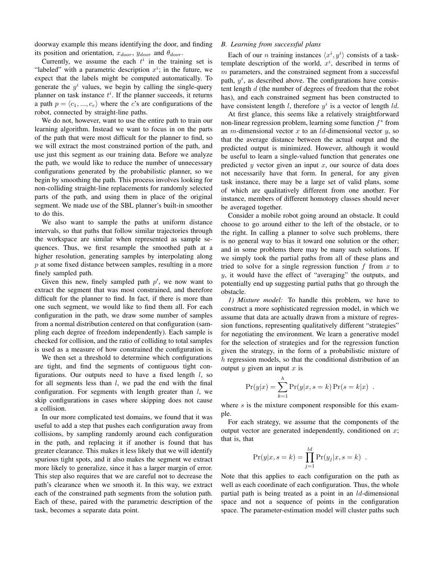doorway example this means identifying the door, and finding its position and orientation,  $x_{door}$ ,  $y_{door}$  and  $\theta_{door}$ .

Currently, we assume the each  $t^i$  in the training set is "labeled" with a parametric description  $x^i$ ; in the future, we expect that the labels might be computed automatically. To generate the  $y^i$  values, we begin by calling the single-query planner on task instance  $t^i$ . If the planner succeeds, it returns a path  $p = \langle c_1, ..., c_r \rangle$  where the c's are configurations of the robot, connected by straight-line paths.

We do not, however, want to use the entire path to train our learning algorithm. Instead we want to focus in on the parts of the path that were most difficult for the planner to find, so we will extract the most constrained portion of the path, and use just this segment as our training data. Before we analyze the path, we would like to reduce the number of unnecessary configurations generated by the probabilistic planner, so we begin by smoothing the path. This process involves looking for non-colliding straight-line replacements for randomly selected parts of the path, and using them in place of the original segment. We made use of the SBL planner's built-in smoother to do this.

We also want to sample the paths at uniform distance intervals, so that paths that follow similar trajectories through the workspace are similar when represented as sample sequences. Thus, we first resample the smoothed path at a higher resolution, generating samples by interpolating along  $p$  at some fixed distance between samples, resulting in a more finely sampled path.

Given this new, finely sampled path  $p'$ , we now want to extract the segment that was most constrained, and therefore difficult for the planner to find. In fact, if there is more than one such segment, we would like to find them all. For each configuration in the path, we draw some number of samples from a normal distribution centered on that configuration (sampling each degree of freedom independently). Each sample is checked for collision, and the ratio of colliding to total samples is used as a measure of how constrained the configuration is.

We then set a threshold to determine which configurations are tight, and find the segments of contiguous tight configurations. Our outputs need to have a fixed length  $l$ , so for all segments less than  $l$ , we pad the end with the final configuration. For segments with length greater than  $l$ , we skip configurations in cases where skipping does not cause a collision.

In our more complicated test domains, we found that it was useful to add a step that pushes each configuration away from collisions, by sampling randomly around each configuration in the path, and replacing it if another is found that has greater clearance. This makes it less likely that we will identify spurious tight spots, and it also makes the segment we extract more likely to generalize, since it has a larger margin of error. This step also requires that we are careful not to decrease the path's clearance when we smooth it. In this way, we extract each of the constrained path segments from the solution path. Each of these, paired with the parametric description of the task, becomes a separate data point.

# *B. Learning from successful plans*

Each of our *n* training instances  $\langle x^i, y^i \rangle$  consists of a tasktemplate description of the world,  $x^i$ , described in terms of  $m$  parameters, and the constrained segment from a successful path,  $y<sup>i</sup>$ , as described above. The configurations have consistent length d (the number of degrees of freedom that the robot has), and each constrained segment has been constructed to have consistent length l, therefore  $y^i$  is a vector of length ld.

At first glance, this seems like a relatively straightforward non-linear regression problem, learning some function  $f^*$  from an *m*-dimensional vector x to an  $ld$ -dimensional vector y, so that the average distance between the actual output and the predicted output is minimized. However, although it would be useful to learn a single-valued function that generates one predicted  $y$  vector given an input  $x$ , our source of data does not necessarily have that form. In general, for any given task instance, there may be a large set of valid plans, some of which are qualitatively different from one another. For instance, members of different homotopy classes should never be averaged together.

Consider a mobile robot going around an obstacle. It could choose to go around either to the left of the obstacle, or to the right. In calling a planner to solve such problems, there is no general way to bias it toward one solution or the other; and in some problems there may be many such solutions. If we simply took the partial paths from all of these plans and tried to solve for a single regression function  $f$  from  $x$  to  $y$ , it would have the effect of "averaging" the outputs, and potentially end up suggesting partial paths that go through the obstacle.

*1) Mixture model:* To handle this problem, we have to construct a more sophisticated regression model, in which we assume that data are actually drawn from a mixture of regression functions, representing qualitatively different "strategies" for negotiating the environment. We learn a generative model for the selection of strategies and for the regression function given the strategy, in the form of a probabilistic mixture of h regression models, so that the conditional distribution of an output  $y$  given an input  $x$  is

$$
Pr(y|x) = \sum_{k=1}^{h} Pr(y|x, s = k) Pr(s = k|x) .
$$

where  $s$  is the mixture component responsible for this example.

For each strategy, we assume that the components of the output vector are generated independently, conditioned on  $x$ ; that is, that

$$
Pr(y|x, s = k) = \prod_{j=1}^{ld} Pr(y_j|x, s = k) .
$$

Note that this applies to each configuration on the path as well as each coordinate of each configuration. Thus, the whole partial path is being treated as a point in an  $ld$ -dimensional space and not a sequence of points in the configuration space. The parameter-estimation model will cluster paths such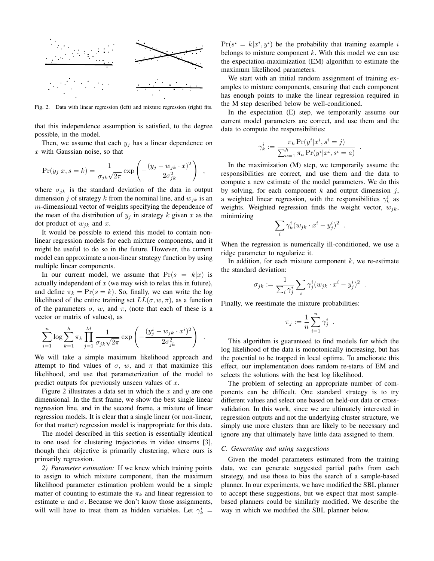

Fig. 2. Data with linear regression (left) and mixture regression (right) fits.

that this independence assumption is satisfied, to the degree possible, in the model.

Then, we assume that each  $y_j$  has a linear dependence on  $x$  with Gaussian noise, so that

$$
Pr(y_j|x, s = k) = \frac{1}{\sigma_{jk}\sqrt{2\pi}} \exp\left(-\frac{(y_j - w_{jk} \cdot x)^2}{2\sigma_{jk}^2}\right) ,
$$

where  $\sigma_{ik}$  is the standard deviation of the data in output dimension j of strategy k from the nominal line, and  $w_{jk}$  is an  $m$ -dimensional vector of weights specifying the dependence of the mean of the distribution of  $y_j$  in strategy k given x as the dot product of  $w_{jk}$  and x.

It would be possible to extend this model to contain nonlinear regression models for each mixture components, and it might be useful to do so in the future. However, the current model can approximate a non-linear strategy function by using multiple linear components.

In our current model, we assume that  $Pr(s = k|x)$  is actually independent of  $x$  (we may wish to relax this in future), and define  $\pi_k = \Pr(s = k)$ . So, finally, we can write the log likelihood of the entire training set  $LL(\sigma, w, \pi)$ , as a function of the parameters  $\sigma$ , w, and  $\pi$ , (note that each of these is a vector or matrix of values), as

$$
\sum_{i=1}^{n} \log \sum_{k=1}^{h} \pi_k \prod_{j=1}^{ld} \frac{1}{\sigma_{jk} \sqrt{2\pi}} \exp \left(-\frac{(y_j^i - w_{jk} \cdot x^i)^2}{2\sigma_{jk}^2}\right)
$$

.

We will take a simple maximum likelihood approach and attempt to find values of  $\sigma$ , w, and  $\pi$  that maximize this likelihood, and use that parameterization of the model to predict outputs for previously unseen values of  $x$ .

Figure 2 illustrates a data set in which the  $x$  and  $y$  are one dimensional. In the first frame, we show the best single linear regression line, and in the second frame, a mixture of linear regression models. It is clear that a single linear (or non-linear, for that matter) regression model is inappropriate for this data.

The model described in this section is essentially identical to one used for clustering trajectories in video streams [3], though their objective is primarily clustering, where ours is primarily regression.

*2) Parameter estimation:* If we knew which training points to assign to which mixture component, then the maximum likelihood parameter estimation problem would be a simple matter of counting to estimate the  $\pi_k$  and linear regression to estimate  $w$  and  $\sigma$ . Because we don't know those assignments, will will have to treat them as hidden variables. Let  $\gamma_k^i$  =

 $Pr(s^i = k | x^i, y^i)$  be the probability that training example i belongs to mixture component  $k$ . With this model we can use the expectation-maximization (EM) algorithm to estimate the maximum likelihood parameters.

We start with an initial random assignment of training examples to mixture components, ensuring that each component has enough points to make the linear regression required in the M step described below be well-conditioned.

In the expectation (E) step, we temporarily assume our current model parameters are correct, and use them and the data to compute the responsibilities:

$$
\gamma^i_k := \frac{\pi_k \Pr(y^i | x^i, s^i = j)}{\sum_{a=1}^h \pi_a \Pr(y^i | x^i, s^i = a)}
$$

.

In the maximization (M) step, we temporarily assume the responsibilities are correct, and use them and the data to compute a new estimate of the model parameters. We do this by solving, for each component  $k$  and output dimension  $j$ , a weighted linear regression, with the responsibilities  $\gamma_k^i$  as weights. Weighted regression finds the weight vector,  $w_{jk}$ , minimizing

$$
\sum_i \gamma^i_k (w_{jk} \cdot x^i - y^i_j)^2 \enspace .
$$

When the regression is numerically ill-conditioned, we use a ridge parameter to regularize it.

In addition, for each mixture component  $k$ , we re-estimate the standard deviation:

$$
\sigma_{jk} := \frac{1}{\sum_i \gamma_j^i} \sum_i \gamma_j^i (w_{jk} \cdot x^i - y_j^i)^2 \enspace .
$$

Finally, we reestimate the mixture probabilities:

$$
\pi_j := \frac{1}{n} \sum_{i=1}^n \gamma_j^i .
$$

This algorithm is guaranteed to find models for which the log likelihood of the data is monotonically increasing, but has the potential to be trapped in local optima. To ameliorate this effect, our implementation does random re-starts of EM and selects the solutions with the best log likelihood.

The problem of selecting an appropriate number of components can be difficult. One standard strategy is to try different values and select one based on held-out data or crossvalidation. In this work, since we are ultimately interested in regression outputs and not the underlying cluster structure, we simply use more clusters than are likely to be necessary and ignore any that ultimately have little data assigned to them.

#### *C. Generating and using suggestions*

Given the model parameters estimated from the training data, we can generate suggested partial paths from each strategy, and use those to bias the search of a sample-based planner. In our experiments, we have modified the SBL planner to accept these suggestions, but we expect that most samplebased planners could be similarly modified. We describe the way in which we modified the SBL planner below.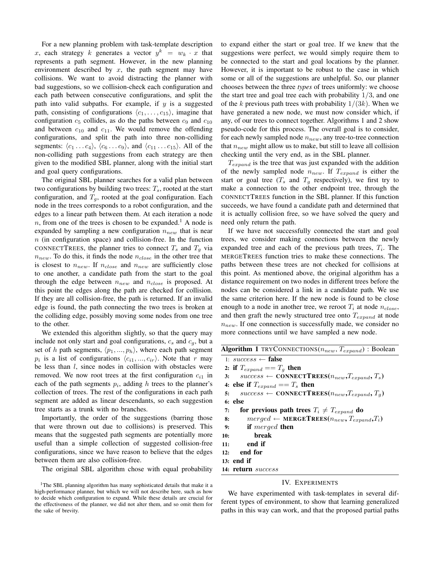For a new planning problem with task-template description x, each strategy k generates a vector  $y^k = w_k \cdot x$  that represents a path segment. However, in the new planning environment described by  $x$ , the path segment may have collisions. We want to avoid distracting the planner with bad suggestions, so we collision-check each configuration and each path between consecutive configurations, and split the path into valid subpaths. For example, if  $y$  is a suggested path, consisting of configurations  $\langle c_1, \ldots, c_{15} \rangle$ , imagine that configuration  $c_5$  collides, as do the paths between  $c_9$  and  $c_{10}$ and between  $c_{10}$  and  $c_{11}$ . We would remove the offending configurations, and split the path into three non-colliding segments:  $\langle c_1 \ldots c_4 \rangle$ ,  $\langle c_6 \ldots c_9 \rangle$ , and  $\langle c_{11} \ldots c_{15} \rangle$ . All of the non-colliding path suggestions from each strategy are then given to the modified SBL planner, along with the initial start and goal query configurations.

The original SBL planner searches for a valid plan between two configurations by building two trees:  $T_s$ , rooted at the start configuration, and  $T_q$ , rooted at the goal configuration. Each node in the trees corresponds to a robot configuration, and the edges to a linear path between them. At each iteration a node n, from one of the trees is chosen to be expanded.<sup>1</sup> A node is expanded by sampling a new configuration  $n_{new}$  that is near  $n$  (in configuration space) and collision-free. In the function CONNECTTREES, the planner tries to connect  $T_s$  and  $T_q$  via  $n_{new}$ . To do this, it finds the node  $n_{close}$  in the other tree that is closest to  $n_{new}$ . If  $n_{close}$  and  $n_{new}$  are sufficiently close to one another, a candidate path from the start to the goal through the edge between  $n_{new}$  and  $n_{close}$  is proposed. At this point the edges along the path are checked for collision. If they are all collision-free, the path is returned. If an invalid edge is found, the path connecting the two trees is broken at the colliding edge, possibly moving some nodes from one tree to the other.

We extended this algorithm slightly, so that the query may include not only start and goal configurations,  $c_s$  and  $c_g$ , but a set of h path segments,  $\langle p_1, ..., p_h \rangle$ , where each path segment  $p_i$  is a list of configurations  $\langle c_{i1}, ..., c_{ir} \rangle$ . Note that r may be less than  $l$ , since nodes in collision with obstacles were removed. We now root trees at the first configuration  $c_{i1}$  in each of the path segments  $p_i$ , adding h trees to the planner's collection of trees. The rest of the configurations in each path segment are added as linear descendants, so each suggestion tree starts as a trunk with no branches.

Importantly, the order of the suggestions (barring those that were thrown out due to collisions) is preserved. This means that the suggested path segments are potentially more useful than a simple collection of suggested collision-free configurations, since we have reason to believe that the edges between them are also collision-free.

The original SBL algorithm chose with equal probability

to expand either the start or goal tree. If we knew that the suggestions were perfect, we would simply require them to be connected to the start and goal locations by the planner. However, it is important to be robust to the case in which some or all of the suggestions are unhelpful. So, our planner chooses between the three *types* of trees uniformly: we choose the start tree and goal tree each with probability  $1/3$ , and one of the k previous path trees with probability  $1/(3k)$ . When we have generated a new node, we must now consider which, if any, of our trees to connect together. Algorithms 1 and 2 show pseudo-code for this process. The overall goal is to consider, for each newly sampled node  $n_{new}$ , any tree-to-tree connection that  $n_{new}$  might allow us to make, but still to leave all collision checking until the very end, as in the SBL planner.

 $T_{expand}$  is the tree that was just expanded with the addition of the newly sampled node  $n_{new}$ . If  $T_{expand}$  is either the start or goal tree  $(T_s$  and  $T_g$  respectively), we first try to make a connection to the other endpoint tree, through the CONNECTTREES function in the SBL planner. If this function succeeds, we have found a candidate path and determined that it is actually collision free, so we have solved the query and need only return the path.

If we have not successfully connected the start and goal trees, we consider making connections between the newly expanded tree and each of the previous path trees,  $T_i$ . The MERGETREES function tries to make these connections. The paths between these trees are not checked for collisions at this point. As mentioned above, the original algorithm has a distance requirement on two nodes in different trees before the nodes can be considered a link in a candidate path. We use the same criterion here. If the new node is found to be close enough to a node in another tree, we reroot  $T_i$  at node  $n_{close}$ , and then graft the newly structured tree onto  $T_{expand}$  at node  $n_{new}$ . If one connection is successfully made, we consider no more connections until we have sampled a new node.

| <b>Algorithm 1</b> TRYCONNECTIONS( $n_{new}$ , $T_{expand}$ ) : Boolean |                                                                      |  |  |  |
|-------------------------------------------------------------------------|----------------------------------------------------------------------|--|--|--|
|                                                                         | 1: $success \leftarrow false$                                        |  |  |  |
|                                                                         | 2: if $T_{expand} == T_q$ then                                       |  |  |  |
|                                                                         | 3: $success \leftarrow \text{CONNETTREES}(n_{new}, T_{expand}, T_s)$ |  |  |  |
|                                                                         | 4: else if $T_{expand} == T_s$ then                                  |  |  |  |
| 5:                                                                      | $success \leftarrow \text{CONNECTTREES}(n_{new}, T_{expand}, T_q)$   |  |  |  |
|                                                                         | 6: else                                                              |  |  |  |
| 7:                                                                      | for previous path trees $T_i \neq T_{expand}$ do                     |  |  |  |
| 8:                                                                      | $merged \leftarrow \text{MERGETREES}(n_{new}, T_{expand}, T_i)$      |  |  |  |
| 9:                                                                      | <b>if</b> merged <b>then</b>                                         |  |  |  |
| 10:                                                                     | break                                                                |  |  |  |
|                                                                         | $11:$ end if                                                         |  |  |  |
|                                                                         | $12:$ end for                                                        |  |  |  |
|                                                                         | $13:$ end if                                                         |  |  |  |
|                                                                         | 14: return success                                                   |  |  |  |
|                                                                         |                                                                      |  |  |  |

# IV. EXPERIMENTS

We have experimented with task-templates in several different types of environment, to show that learning generalized paths in this way can work, and that the proposed partial paths

<sup>&</sup>lt;sup>1</sup>The SBL planning algorithm has many sophisticated details that make it a high-performance planner, but which we will not describe here, such as how to decide which configuration to expand. While these details are crucial for the effectiveness of the planner, we did not alter them, and so omit them for the sake of brevity.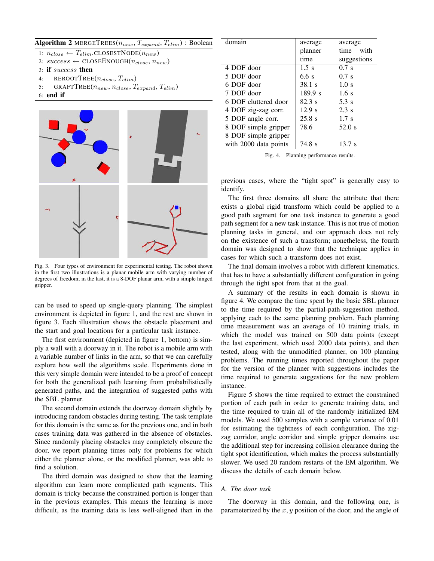# Algorithm 2 MERGETREES( $n_{new}$ ,  $T_{expand}$ ,  $T_{elim}$ ) : Boolean

1:  $n_{close} \leftarrow T_{elim}$ .CLOSESTNODE $(n_{new})$ 

- 2:  $success \leftarrow \text{CLOSEENOUGH}(n_{close}, n_{new})$
- 3: if success then
- 4: REROOTTREE $(n_{close}, T_{elim})$
- 5: GRAFTTREE $(n_{new}, n_{close}, T_{expand}, T_{elim})$
- 6: end if



Fig. 3. Four types of environment for experimental testing. The robot shown in the first two illustrations is a planar mobile arm with varying number of degrees of freedom; in the last, it is a 8-DOF planar arm, with a simple hinged gripper.

can be used to speed up single-query planning. The simplest environment is depicted in figure 1, and the rest are shown in figure 3. Each illustration shows the obstacle placement and the start and goal locations for a particular task instance.

The first environment (depicted in figure 1, bottom) is simply a wall with a doorway in it. The robot is a mobile arm with a variable number of links in the arm, so that we can carefully explore how well the algorithms scale. Experiments done in this very simple domain were intended to be a proof of concept for both the generalized path learning from probabilistically generated paths, and the integration of suggested paths with the SBL planner.

The second domain extends the doorway domain slightly by introducing random obstacles during testing. The task template for this domain is the same as for the previous one, and in both cases training data was gathered in the absence of obstacles. Since randomly placing obstacles may completely obscure the door, we report planning times only for problems for which either the planner alone, or the modified planner, was able to find a solution.

The third domain was designed to show that the learning algorithm can learn more complicated path segments. This domain is tricky because the constrained portion is longer than in the previous examples. This means the learning is more difficult, as the training data is less well-aligned than in the

| domain                | average  | average          |
|-----------------------|----------|------------------|
|                       | planner  | time with        |
|                       | time     | suggestions      |
| 4 DOF door            | $1.5$ s  | $0.7$ s          |
| 5 DOF door            | 6.6s     | $0.7$ s          |
| 6 DOF door            | $38.1$ s | 1.0 s            |
| 7 DOF door            | 189.9 s  | 1.6 <sub>s</sub> |
| 6 DOF cluttered door  | 82.3 s   | $5.3$ s          |
| 4 DOF zig-zag corr.   | $12.9$ s | 2.3 s            |
| 5 DOF angle corr.     | 25.8 s   | 1.7 s            |
| 8 DOF simple gripper  | 78.6     | 52.0 s           |
| 8 DOF simple gripper  |          |                  |
| with 2000 data points | 74.8 s   | $13.7$ s         |

Fig. 4. Planning performance results.

previous cases, where the "tight spot" is generally easy to identify.

The first three domains all share the attribute that there exists a global rigid transform which could be applied to a good path segment for one task instance to generate a good path segment for a new task instance. This is not true of motion planning tasks in general, and our approach does not rely on the existence of such a transform; nonetheless, the fourth domain was designed to show that the technique applies in cases for which such a transform does not exist.

The final domain involves a robot with different kinematics, that has to have a substantially different configuration in going through the tight spot from that at the goal.

A summary of the results in each domain is shown in figure 4. We compare the time spent by the basic SBL planner to the time required by the partial-path-suggestion method, applying each to the same planning problem. Each planning time measurement was an average of 10 training trials, in which the model was trained on 500 data points (except the last experiment, which used 2000 data points), and then tested, along with the unmodified planner, on 100 planning problems. The running times reported throughout the paper for the version of the planner with suggestions includes the time required to generate suggestions for the new problem instance.

Figure 5 shows the time required to extract the constrained portion of each path in order to generate training data, and the time required to train all of the randomly initialized EM models. We used 500 samples with a sample variance of 0.01 for estimating the tightness of each configuration. The zigzag corridor, angle corridor and simple gripper domains use the additional step for increasing collision clearance during the tight spot identification, which makes the process substantially slower. We used 20 random restarts of the EM algorithm. We discuss the details of each domain below.

# *A. The door task*

The doorway in this domain, and the following one, is parameterized by the  $x, y$  position of the door, and the angle of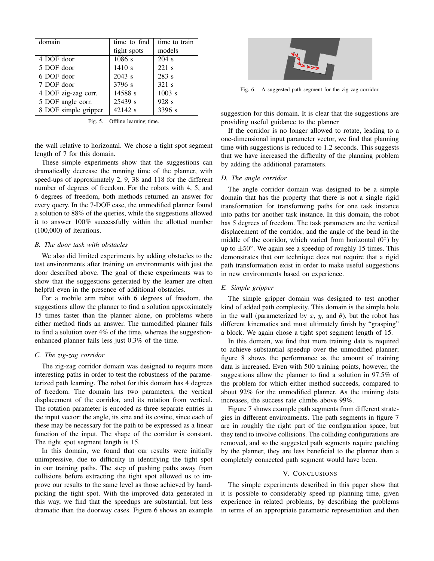| domain               | time to find | time to train    |
|----------------------|--------------|------------------|
|                      | tight spots  | models           |
| 4 DOF door           | $1086$ s     | $204 \text{ s}$  |
| 5 DOF door           | 1410 s       | $221$ s          |
| 6 DOF door           | 2043 s       | 283 s            |
| 7 DOF door           | 3796 s       | $321$ s          |
| 4 DOF zig-zag corr.  | 14588 s      | $1003 \text{ s}$ |
| 5 DOF angle corr.    | 25439 s      | 928s             |
| 8 DOF simple gripper | 42142 s      | 3396 s           |

Fig. 5. Offline learning time.

the wall relative to horizontal. We chose a tight spot segment length of 7 for this domain.

These simple experiments show that the suggestions can dramatically decrease the running time of the planner, with speed-ups of approximately 2, 9, 38 and 118 for the different number of degrees of freedom. For the robots with 4, 5, and 6 degrees of freedom, both methods returned an answer for every query. In the 7-DOF case, the unmodified planner found a solution to 88% of the queries, while the suggestions allowed it to answer 100% successfully within the allotted number (100,000) of iterations.

#### *B. The door task with obstacles*

We also did limited experiments by adding obstacles to the test environments after training on environments with just the door described above. The goal of these experiments was to show that the suggestions generated by the learner are often helpful even in the presence of additional obstacles.

For a mobile arm robot with 6 degrees of freedom, the suggestions allow the planner to find a solution approximately 15 times faster than the planner alone, on problems where either method finds an answer. The unmodified planner fails to find a solution over 4% of the time, whereas the suggestionenhanced planner fails less just 0.3% of the time.

# *C. The zig-zag corridor*

The zig-zag corridor domain was designed to require more interesting paths in order to test the robustness of the parameterized path learning. The robot for this domain has 4 degrees of freedom. The domain has two parameters, the vertical displacement of the corridor, and its rotation from vertical. The rotation parameter is encoded as three separate entries in the input vector: the angle, its sine and its cosine, since each of these may be necessary for the path to be expressed as a linear function of the input. The shape of the corridor is constant. The tight spot segment length is 15.

In this domain, we found that our results were initially unimpressive, due to difficulty in identifying the tight spot in our training paths. The step of pushing paths away from collisions before extracting the tight spot allowed us to improve our results to the same level as those achieved by handpicking the tight spot. With the improved data generated in this way, we find that the speedups are substantial, but less dramatic than the doorway cases. Figure 6 shows an example



Fig. 6. A suggested path segment for the zig zag corridor.

suggestion for this domain. It is clear that the suggestions are providing useful guidance to the planner

If the corridor is no longer allowed to rotate, leading to a one-dimensional input parameter vector, we find that planning time with suggestions is reduced to 1.2 seconds. This suggests that we have increased the difficulty of the planning problem by adding the additional parameters.

# *D. The angle corridor*

The angle corridor domain was designed to be a simple domain that has the property that there is not a single rigid transformation for transforming paths for one task instance into paths for another task instance. In this domain, the robot has 5 degrees of freedom. The task parameters are the vertical displacement of the corridor, and the angle of the bend in the middle of the corridor, which varied from horizontal  $(0^{\circ})$  by up to  $\pm 50^\circ$ . We again see a speedup of roughly 15 times. This demonstrates that our technique does not require that a rigid path transformation exist in order to make useful suggestions in new environments based on experience.

# *E. Simple gripper*

The simple gripper domain was designed to test another kind of added path complexity. This domain is the simple hole in the wall (parameterized by x, y, and  $\theta$ ), but the robot has different kinematics and must ultimately finish by "grasping" a block. We again chose a tight spot segment length of 15.

In this domain, we find that more training data is required to achieve substantial speedup over the unmodified planner; figure 8 shows the performance as the amount of training data is increased. Even with 500 training points, however, the suggestions allow the planner to find a solution in 97.5% of the problem for which either method succeeds, compared to about 92% for the unmodified planner. As the training data increases, the success rate climbs above 99%.

Figure 7 shows example path segments from different strategies in different environments. The path segments in figure 7 are in roughly the right part of the configuration space, but they tend to involve collisions. The colliding configurations are removed, and so the suggested path segments require patching by the planner, they are less beneficial to the planner than a completely connected path segment would have been.

# V. CONCLUSIONS

The simple experiments described in this paper show that it is possible to considerably speed up planning time, given experience in related problems, by describing the problems in terms of an appropriate parametric representation and then